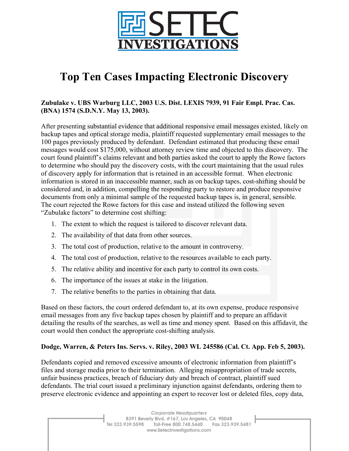

# **Top Ten Cases Impacting Electronic Discovery**

#### **Zubulake v. UBS Warburg LLC, 2003 U.S. Dist. LEXIS 7939, 91 Fair Empl. Prac. Cas. (BNA) 1574 (S.D.N.Y. May 13, 2003).**

After presenting substantial evidence that additional responsive email messages existed, likely on backup tapes and optical storage media, plaintiff requested supplementary email messages to the 100 pages previously produced by defendant. Defendant estimated that producing these email messages would cost \$175,000, without attorney review time and objected to this discovery. The court found plaintiff's claims relevant and both parties asked the court to apply the Rowe factors to determine who should pay the discovery costs, with the court maintaining that the usual rules of discovery apply for information that is retained in an accessible format. When electronic information is stored in an inaccessible manner, such as on backup tapes, cost-shifting should be considered and, in addition, compelling the responding party to restore and produce responsive documents from only a minimal sample of the requested backup tapes is, in general, sensible. The court rejected the Rowe factors for this case and instead utilized the following seven "Zubulake factors" to determine cost shifting:

- 1. The extent to which the request is tailored to discover relevant data.
- 2. The availability of that data from other sources.
- 3. The total cost of production, relative to the amount in controversy.
- 4. The total cost of production, relative to the resources available to each party.
- 5. The relative ability and incentive for each party to control its own costs.
- 6. The importance of the issues at stake in the litigation.
- 7. The relative benefits to the parties in obtaining that data.

Based on these factors, the court ordered defendant to, at its own expense, produce responsive email messages from any five backup tapes chosen by plaintiff and to prepare an affidavit detailing the results of the searches, as well as time and money spent. Based on this affidavit, the court would then conduct the appropriate cost-shifting analysis.

#### **Dodge, Warren, & Peters Ins. Servs. v. Riley, 2003 WL 245586 (Cal. Ct. App. Feb 5, 2003).**

Defendants copied and removed excessive amounts of electronic information from plaintiff's files and storage media prior to their termination. Alleging misappropriation of trade secrets, unfair business practices, breach of fiduciary duty and breach of contract, plaintiff sued defendants. The trial court issued a preliminary injunction against defendants, ordering them to preserve electronic evidence and appointing an expert to recover lost or deleted files, copy data,

> Corporate Headquarters 8391 Beverly Blvd. #167, Los Angeles, CA 90048 Tel 323.939.5598 Toll-Free 800.748.5440 Fax 323.939.5481 www.SetecInvestigations.com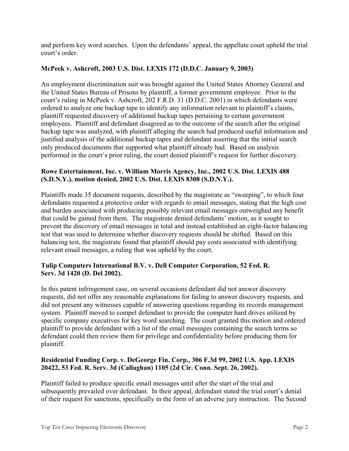and perform key word searches. Upon the defendants' appeal, the appellate court upheld the trial court's order.

## **McPeek v. Ashcroft, 2003 U.S. Dist. LEXIS 172 (D.D.C. January 9, 2003)**

An employment discrimination suit was brought against the United States Attorney General and the United States Bureau of Prisons by plaintiff, a former government employee. Prior to the court's ruling in McPeek v. Ashcroft, 202 F.R.D. 31 (D.D.C. 2001) in which defendants were ordered to analyze one backup tape to identify any information relevant to plaintiff's claims, plaintiff requested discovery of additional backup tapes pertaining to certain government employees. Plaintiff and defendant disagreed as to the outcome of the search after the original backup tape was analyzed, with plaintiff alleging the search had produced useful information and justified analysis of the additional backup tapes and defendant asserting that the initial search only produced documents that supported what plaintiff already had. Based on analysis performed in the court's prior ruling, the court denied plaintiff's request for further discovery.

# **Rowe Entertainment, Inc. v. William Morris Agency, Inc., 2002 U.S. Dist. LEXIS 488 (S.D.N.Y.), motion denied, 2002 U.S. Dist. LEXIS 8308 (S.D.N.Y.).**

Plaintiffs made 35 document requests, described by the magistrate as "sweeping", to which four defendants requested a protective order with regards to email messages, stating that the high cost and burden associated with producing possibly relevant email messages outweighed any benefit that could be gained from them. The magistrate denied defendants' motion, as it sought to prevent the discovery of email messages in total and instead established an eight-factor balancing test that was used to determine whether discovery requests should be shifted. Based on this balancing test, the magistrate found that plaintiff should pay costs associated with identifying relevant email messages, a ruling that was upheld by the court.

# **Tulip Computers International B.V. v. Dell Computer Corporation, 52 Fed. R. Serv. 3d 1420 (D. Del 2002).**

In this patent infringement case, on several occasions defendant did not answer discovery requests, did not offer any reasonable explanations for failing to answer discovery requests, and did not present any witnesses capable of answering questions regarding its records management system. Plaintiff moved to compel defendant to provide the computer hard drives utilized by specific company executives for key word searching. The court granted this motion and ordered plaintiff to provide defendant with a list of the email messages containing the search terms so defendant could then review them for privilege and confidentiality before producing them for plaintiff.

# **Residential Funding Corp. v. DeGeorge Fin. Corp., 306 F.3d 99, 2002 U.S. App. LEXIS 20422, 53 Fed. R. Serv. 3d (Callaghan) 1105 (2d Cir. Conn. Sept. 26, 2002).**

Plaintiff failed to produce specific email messages until after the start of the trial and subsequently prevailed over defendant. In their appeal, defendant stated the trial court's denial of their request for sanctions, specifically in the form of an adverse jury instruction. The Second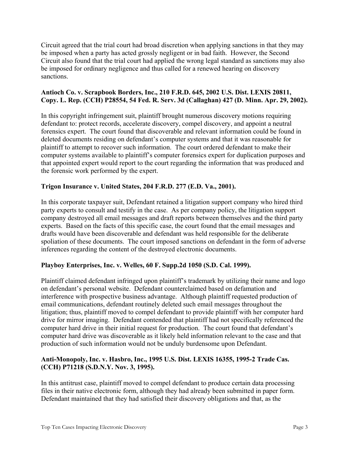Circuit agreed that the trial court had broad discretion when applying sanctions in that they may be imposed when a party has acted grossly negligent or in bad faith. However, the Second Circuit also found that the trial court had applied the wrong legal standard as sanctions may also be imposed for ordinary negligence and thus called for a renewed hearing on discovery sanctions.

## **Antioch Co. v. Scrapbook Borders, Inc., 210 F.R.D. 645, 2002 U.S. Dist. LEXIS 20811, Copy. L. Rep. (CCH) P28554, 54 Fed. R. Serv. 3d (Callaghan) 427 (D. Minn. Apr. 29, 2002).**

In this copyright infringement suit, plaintiff brought numerous discovery motions requiring defendant to: protect records, accelerate discovery, compel discovery, and appoint a neutral forensics expert. The court found that discoverable and relevant information could be found in deleted documents residing on defendant's computer systems and that it was reasonable for plaintiff to attempt to recover such information. The court ordered defendant to make their computer systems available to plaintiff's computer forensics expert for duplication purposes and that appointed expert would report to the court regarding the information that was produced and the forensic work performed by the expert.

# **Trigon Insurance v. United States, 204 F.R.D. 277 (E.D. Va., 2001).**

In this corporate taxpayer suit, Defendant retained a litigation support company who hired third party experts to consult and testify in the case. As per company policy, the litigation support company destroyed all email messages and draft reports between themselves and the third party experts. Based on the facts of this specific case, the court found that the email messages and drafts would have been discoverable and defendant was held responsible for the deliberate spoliation of these documents. The court imposed sanctions on defendant in the form of adverse inferences regarding the content of the destroyed electronic documents.

#### **Playboy Enterprises, Inc. v. Welles, 60 F. Supp.2d 1050 (S.D. Cal. 1999).**

Plaintiff claimed defendant infringed upon plaintiff's trademark by utilizing their name and logo on defendant's personal website. Defendant counterclaimed based on defamation and interference with prospective business advantage. Although plaintiff requested production of email communications, defendant routinely deleted such email messages throughout the litigation; thus, plaintiff moved to compel defendant to provide plaintiff with her computer hard drive for mirror imaging. Defendant contended that plaintiff had not specifically referenced the computer hard drive in their initial request for production. The court found that defendant's computer hard drive was discoverable as it likely held information relevant to the case and that production of such information would not be unduly burdensome upon Defendant.

#### **Anti-Monopoly, Inc. v. Hasbro, Inc., 1995 U.S. Dist. LEXIS 16355, 1995-2 Trade Cas. (CCH) P71218 (S.D.N.Y. Nov. 3, 1995).**

In this antitrust case, plaintiff moved to compel defendant to produce certain data processing files in their native electronic form, although they had already been submitted in paper form. Defendant maintained that they had satisfied their discovery obligations and that, as the